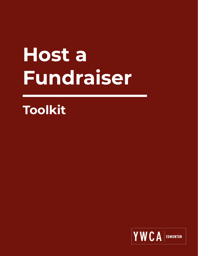# **Host a Fundraiser**

## **Toolkit**

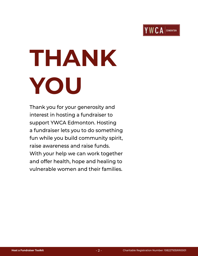

# **THANK YOU**

Thank you for your generosity and interest in hosting a fundraiser to support YWCA Edmonton. Hosting a fundraiser lets you to do something fun while you build community spirit, raise awareness and raise funds. With your help we can work together and offer health, hope and healing to vulnerable women and their families.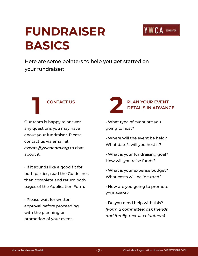### **FUNDRAISER BASICS**



Here are some pointers to help you get started on your fundraiser:

#### **1 CONTACT US**

Our team is happy to answer any questions you may have about your fundraiser. Please contact us via email at *[events@ywcaedm.org](mailto:events%40ywcaedm.org?subject=Host%20Your%20Own%20Fundraiser)* to chat about it.

• If it sounds like a good fit for both parties, read the Guidelines then complete and return both pages of the Application Form.

• Please wait for written approval before proceeding with the planning or promotion of your event.



- What type of event are you going to host?
- Where will the event be held? What date/s will you host it?
- What is your fundraising goal? How will you raise funds?
- What is your expense budget? What costs will be incurred?
- How are you going to promote your event?
- Do you need help with this? *(Form a committee: ask friends and family, recruit volunteers)*